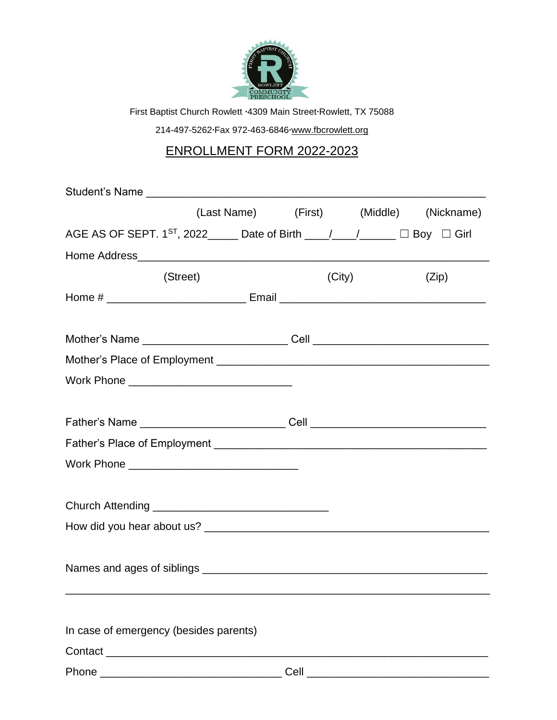

First Baptist Church Rowlett **∙**4309 Main Street**∙**Rowlett, TX 75088

214-497-5262**∙**Fax 972-463-6846**∙**www.fbcrowlett.org

## ENROLLMENT FORM 2022-2023

| (Last Name) (First) (Middle) (Nickname)                                                           |      |        |       |
|---------------------------------------------------------------------------------------------------|------|--------|-------|
| AGE AS OF SEPT. 1 <sup>ST</sup> , 2022______ Date of Birth ____/____/_____ $\Box$ Boy $\Box$ Girl |      |        |       |
|                                                                                                   |      |        |       |
| (Street)                                                                                          |      | (City) | (Zip) |
|                                                                                                   |      |        |       |
|                                                                                                   |      |        |       |
|                                                                                                   |      |        |       |
| Work Phone ________________________________                                                       |      |        |       |
|                                                                                                   |      |        |       |
|                                                                                                   |      |        |       |
|                                                                                                   |      |        |       |
|                                                                                                   |      |        |       |
|                                                                                                   |      |        |       |
|                                                                                                   |      |        |       |
|                                                                                                   |      |        |       |
| In case of emergency (besides parents)                                                            |      |        |       |
| Contact <b>Contact Contact</b>                                                                    |      |        |       |
| Phone                                                                                             | Cell |        |       |